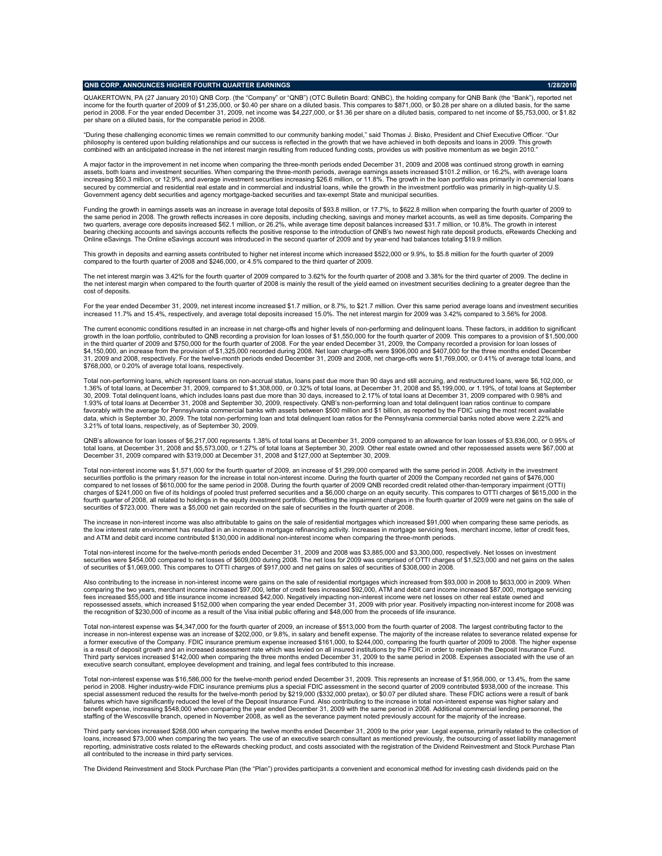## **QNB CORP. ANNOUNCES HIGHER FOURTH QUARTER EARNINGS 1/28/2010**

QUAKERTOWN, PA (27 January 2010) QNB Corp. (the "Company" or "QNB") (OTC Bulletin Board: QNBC), the holding company for QNB Bank (the "Bank"), reported net income for the fourth quarter of 2009 of \$1,235,000, or \$0.40 per share on a diluted basis. This compares to \$871,000, or \$0.28 per share on a diluted basis, for the same period in 2008. For the year ended December 31, 2009, net income was \$4,227,000, or \$1.36 per share on a diluted basis, compared to net income of \$5,753,000, or \$1.82 per share on a diluted basis, for the comparable period in 2008.

"During these challenging economic times we remain committed to our community banking model," said Thomas J. Bisko, President and Chief Executive Officer. "Our philosophy is centered upon building relationships and our success is reflected in the growth that we have achieved in both deposits and loans in 2009. This growth combined with an anticipated increase in the net interest margin resulting from reduced funding costs, provides us with positive momentum as we begin 2010.

A major factor in the improvement in net income when comparing the three-month periods ended December 31, 2009 and 2008 was continued strong growth in earning assets, both loans and investment securities. When comparing the three-month periods, average earnings assets increased \$101.2 million, or 16.2%, with average loans increasing \$50.3 million, or 12.9%, and average investment securities increasing \$26.6 million, or 11.8%. The growth in the loan portfolio was primarily in commercial loans secured by commercial and residential real estate and in commercial and industrial loans, while the growth in the investment portfolio was primarily in high-quality U.S.<br>Government agency debt securities and agency mortgag

Funding the growth in earnings assets was an increase in average total deposits of \$93.8 million, or 17.7%, to \$622.8 million when comparing the fourth quarter of 2009 to ame period in 2008. The growth reflects increases in core deposits, including checking, savings and money market accounts, as well as time deposits. Comparing the two quarters, average core deposits increased \$62.1 million, or 26.2%, while average time deposit balances increased \$31.7 million, or 10.8%. The growth in interest<br>bearing checking accounts and savings accounts reflects t Online eSavings. The Online eSavings account was introduced in the second quarter of 2009 and by year-end had balances totaling \$19.9 million.

This growth in deposits and earning assets contributed to higher net interest income which increased \$522,000 or 9.9%, to \$5.8 million for the fourth quarter of 2009 ared to the fourth quarter of 2008 and \$246,000, or 4.5% compared to the third quarter of 2009.

The net interest margin was 3.42% for the fourth quarter of 2009 compared to 3.62% for the fourth quarter of 2008 and 3.38% for the third quarter of 2009. The decline in the net interest margin when compared to the fourth quarter of 2008 is mainly the result of the yield earned on investment securities declining to a greater degree than the cost of deposits.

For the year ended December 31, 2009, net interest income increased \$1.7 million, or 8.7%, to \$21.7 million. Over this same period average loans and investment securities increased 11.7% and 15.4%, respectively, and average total deposits increased 15.0%. The net interest margin for 2009 was 3.42% compared to 3.56% for 2008.

The current economic conditions resulted in an increase in net charge-offs and higher levels of non-performing and delinquent loans. These factors, in addition to significant growth in the loan portfolio, contributed to QNB recording a provision for loan losses of \$1,550,000 for the fourth quarter of 2009. This compares to a provision of \$1,500,000 in the third quarter of 2009 and \$750,000 for the fourth quarter of 2008. For the year ended December 31, 2009, the Company recorded a provision for Ioan Iosses of<br>\$4,150,000, an increase from the provision of \$1,325,000 r 31, 2009 and 2008, respectively. For the twelve-month periods ended December 31, 2009 and 2008, net charge-offs were \$1,769,000, or 0.41% of average total loans, and \$768,000, or 0.20% of average total loans, respectively.

Total non-performing loans, which represent loans on non-accrual status, loans past due more than 90 days and still accruing, and restructured loans, were \$6,102,000, or<br>1.36% of total loans, at December 31, 2009, compared 30, 2009. Total delinquent loans, which includes loans past due more than 30 days, increased to 2.17% of total loans at December 31, 2009 compared with 0.98% and<br>1.93% of total loans at December 31, 2008 and September 30, favorably with the average for Pennsylvania commercial banks with assets between \$500 million and \$1 billion, as reported by the FDIC using the most recent available data, which is September 30, 2009. The total non-performing loan and total delinquent loan ratios for the Pennsylvania commercial banks noted above were 2.22% and 3.21% of total loans, respectively, as of September 30, 2009.

QNB's allowance for loan losses of \$6,217,000 represents 1.38% of total loans at December 31, 2009 compared to an allowance for loan losses of \$3,836,000, or 0.95% of total loans, at December 31, 2008 and \$5,573,000, or 1.27% of total loans at September 30, 2009. Other real estate owned and other repossessed assets were \$67,000 at December 31, 2009 compared with \$319,000 at December 31, 2008 and \$127,000 at September 30, 2009.

Total non-interest income was \$1,571,000 for the fourth quarter of 2009, an increase of \$1,299,000 compared with the same period in 2008. Activity in the investment securities portfolio is the primary reason for the increase in total non-interest income. During the fourth quarter of 2009 the Company recorded net gains of \$476,000 compared to net losses of \$610,000 for the same period in 2008. During the fourth quarter of 2009 QNB recorded credit related other-than-temporary impairment (OTTI) charges of \$241,000 on five of its holdings of pooled trust preferred securities and a \$6,000 charge on an equity security. This compares to OTTI charges of \$615,000 in the<br>fourth quarter of 2008, all related to holdings i securities of \$723,000. There was a \$5,000 net gain recorded on the sale of securities in the fourth quarter of 2008.

The increase in non-interest income was also attributable to gains on the sale of residential mortgages which increased \$91,000 when comparing these same periods, as the low interest rate environment has resulted in an increase in mortgage refinancing activity. Increases in mortgage servicing fees, merchant income, letter of credit fees, and ATM and debit card income contributed \$130,000 in additional non-interest income when comparing the three-month periods.

Total non-interest income for the twelve-month periods ended December 31, 2009 and 2008 was \$3,885,000 and \$3,300,000, respectively. Net losses on investment<br>securities were \$454,000 compared to net losses of \$609,000 duri of securities of \$1,069,000. This compares to OTTI charges of \$917,000 and net gains on sales of securities of \$308,000 in 2008.

Also contributing to the increase in non-interest income were gains on the sale of residential mortgages which increased from \$93,000 in 2008 to \$633,000 in 2009. When comparing the two years, merchant income increased \$97,000, letter of credit fees increased \$92,000, ATM and debit card income increased \$87,000, mortgage servicing<br>fees increased \$55,000 and title insurance income increas repossessed assets, which increased \$152,000 when comparing the year ended December 31, 2009 with prior year. Positively impacting non-interest income for 2008 was the recognition of \$230,000 of income as a result of the Visa initial public offering and \$48,000 from the proceeds of life insurance.

Total non-interest expense was \$4,347,000 for the fourth quarter of 2009, an increase of \$513,000 from the fourth quarter of 2008. The largest contributing factor to the increase in non-interest expense was an increase of \$202,000, or 9.8%, in salary and benefit expense. The majority of the increase relates to severance related expense for<br>a former executive of the Company. FDIC insurance is a result of deposit growth and an increased assessment rate which was levied on all insured institutions by the FDIC in order to replenish the Deposit Insurance Fund.<br>Third party services increased \$142,000 when compari executive search consultant, employee development and training, and legal fees contributed to this increase.

Total non-interest expense was \$16,586,000 for the twelve-month period ended December 31, 2009. This represents an increase of \$1,958,000, or 13.4%, from the same period in 2008. Higher industry-wide FDIC insurance premiums plus a special FDIC assessment in the second quarter of 2009 contributed \$938,000 of the increase. This<br>special assessment reduced the results for the twelve-mon failures which have significantly reduced the level of the Deposit Insurance Fund. Also contributing to the increase in total non-interest expense was higher salary and benefit expense, increasing \$548,000 when comparing the year ended December 31, 2009 with the same period in 2008. Additional commercial lending personnel, the<br>staffing of the Wescosville branch, opened in November 2008, a

Third party services increased \$268,000 when comparing the twelve months ended December 31, 2009 to the prior year. Legal expense, primarily related to the collection of loans, increased \$73,000 when comparing the two years. The use of an executive search consultant as mentioned previously, the outsourcing of asset liability management reporting, administrative costs related to the eRewards checking product, and costs associated with the registration of the Dividend Reinvestment and Stock Purchase Plan<br>all contributed to the increase in third party servi

The Dividend Reinvestment and Stock Purchase Plan (the "Plan") provides participants a convenient and economical method for investing cash dividends paid on the